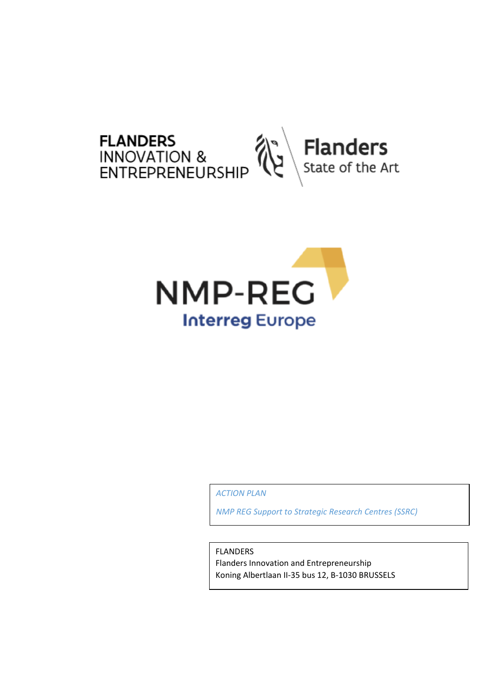



*ACTION PLAN*

*NMP REG Support to Strategic Research Centres (SSRC)*

FLANDERS

Flanders Innovation and Entrepreneurship Koning Albertlaan II-35 bus 12, B-1030 BRUSSELS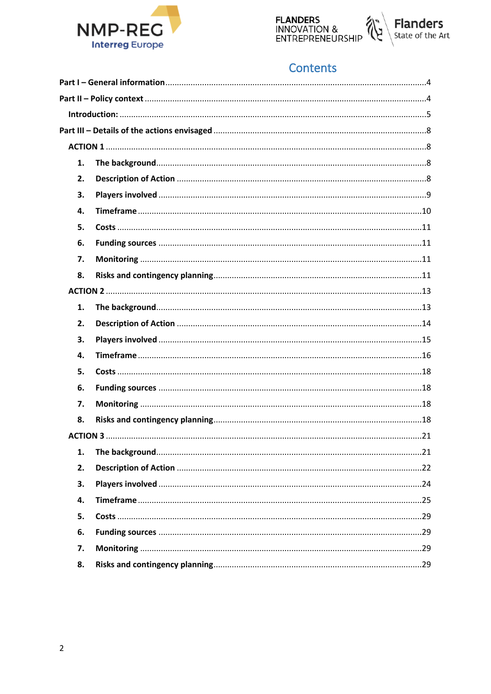





## Contents

| 1. |  |  |  |  |
|----|--|--|--|--|
| 2. |  |  |  |  |
| 3. |  |  |  |  |
| 4. |  |  |  |  |
| 5. |  |  |  |  |
| 6. |  |  |  |  |
| 7. |  |  |  |  |
| 8. |  |  |  |  |
|    |  |  |  |  |
| 1. |  |  |  |  |
| 2. |  |  |  |  |
| 3. |  |  |  |  |
| 4. |  |  |  |  |
| 5. |  |  |  |  |
| 6. |  |  |  |  |
| 7. |  |  |  |  |
| 8. |  |  |  |  |
|    |  |  |  |  |
| 1. |  |  |  |  |
| 2. |  |  |  |  |
| 3. |  |  |  |  |
| 4. |  |  |  |  |
| 5. |  |  |  |  |
| 6. |  |  |  |  |
| 7. |  |  |  |  |
| 8. |  |  |  |  |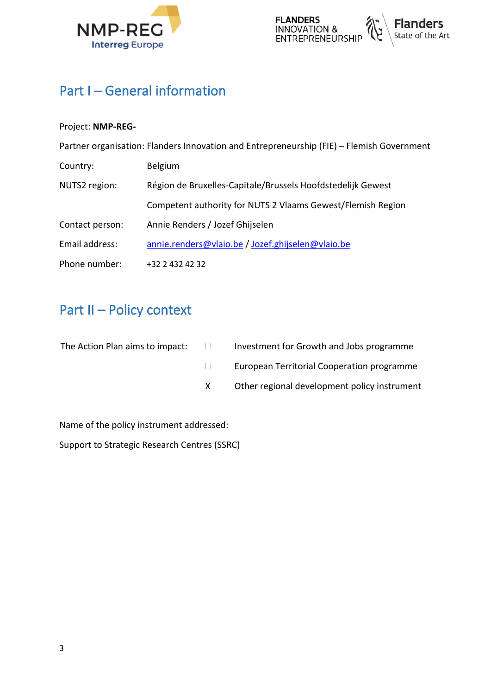



# <span id="page-2-0"></span>**Part I – General information**

## Project: **NMP-REG-**

|                 | Partner organisation: Flanders Innovation and Entrepreneurship (FIE) - Flemish Government |
|-----------------|-------------------------------------------------------------------------------------------|
| Country:        | Belgium                                                                                   |
| NUTS2 region:   | Région de Bruxelles-Capitale/Brussels Hoofdstedelijk Gewest                               |
|                 | Competent authority for NUTS 2 Vlaams Gewest/Flemish Region                               |
| Contact person: | Annie Renders / Jozef Ghijselen                                                           |
| Email address:  | annie.renders@vlaio.be / Jozef.ghijselen@vlaio.be                                         |
| Phone number:   | +32 2 432 42 32                                                                           |

# <span id="page-2-1"></span>**Part II – Policy context**

| The Action Plan aims to impact: | $\mathbf{1}$ | Investment for Growth and Jobs programme     |
|---------------------------------|--------------|----------------------------------------------|
|                                 |              | European Territorial Cooperation programme   |
|                                 |              | Other regional development policy instrument |

Name of the policy instrument addressed:

Support to Strategic Research Centres (SSRC)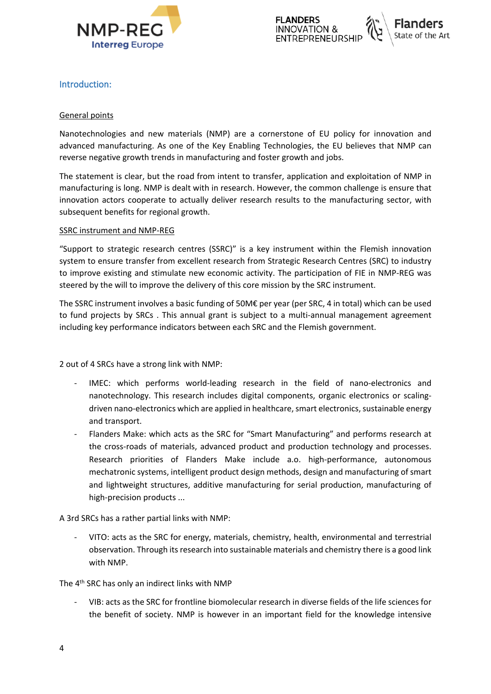



## <span id="page-3-0"></span>**Introduction:**

#### General points

Nanotechnologies and new materials (NMP) are a cornerstone of EU policy for innovation and advanced manufacturing. As one of the Key Enabling Technologies, the EU believes that NMP can reverse negative growth trends in manufacturing and foster growth and jobs.

The statement is clear, but the road from intent to transfer, application and exploitation of NMP in manufacturing is long. NMP is dealt with in research. However, the common challenge is ensure that innovation actors cooperate to actually deliver research results to the manufacturing sector, with subsequent benefits for regional growth.

#### SSRC instrument and NMP-REG

"Support to strategic research centres (SSRC)" is a key instrument within the Flemish innovation system to ensure transfer from excellent research from Strategic Research Centres (SRC) to industry to improve existing and stimulate new economic activity. The participation of FIE in NMP-REG was steered by the will to improve the delivery of this core mission by the SRC instrument.

The SSRC instrument involves a basic funding of 50M€ per year (per SRC, 4 in total) which can be used to fund projects by SRCs . This annual grant is subject to a multi-annual management agreement including key performance indicators between each SRC and the Flemish government.

2 out of 4 SRCs have a strong link with NMP:

- IMEC: which performs world-leading research in the field of nano-electronics and nanotechnology. This research includes digital components, organic electronics or scalingdriven nano-electronics which are applied in healthcare, smart electronics, sustainable energy and transport.
- Flanders Make: which acts as the SRC for "Smart Manufacturing" and performs research at the cross-roads of materials, advanced product and production technology and processes. Research priorities of Flanders Make include a.o. high-performance, autonomous mechatronic systems, intelligent product design methods, design and manufacturing of smart and lightweight structures, additive manufacturing for serial production, manufacturing of high-precision products ...

A 3rd SRCs has a rather partial links with NMP:

- VITO: acts as the SRC for energy, materials, chemistry, health, environmental and terrestrial observation. Through its research into sustainable materials and chemistry there is a good link with NMP.

The 4th SRC has only an indirect links with NMP

- VIB: acts as the SRC for frontline biomolecular research in diverse fields of the life sciences for the benefit of society. NMP is however in an important field for the knowledge intensive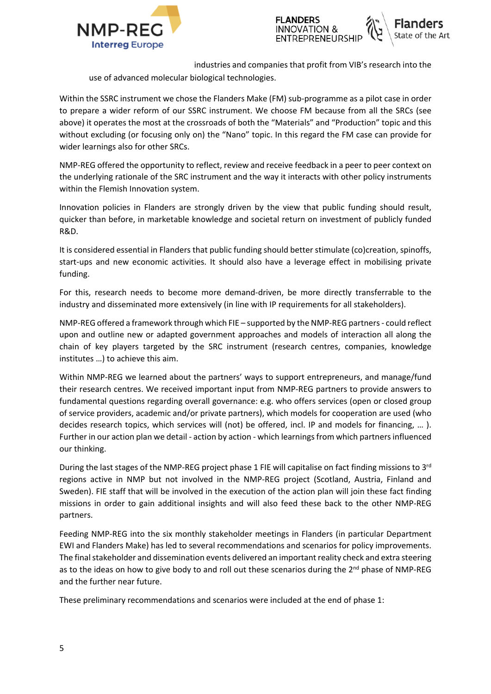



industries and companies that profit from VIB's research into the

use of advanced molecular biological technologies.

Within the SSRC instrument we chose the Flanders Make (FM) sub-programme as a pilot case in order to prepare a wider reform of our SSRC instrument. We choose FM because from all the SRCs (see above) it operates the most at the crossroads of both the "Materials" and "Production" topic and this without excluding (or focusing only on) the "Nano" topic. In this regard the FM case can provide for wider learnings also for other SRCs.

NMP-REG offered the opportunity to reflect, review and receive feedback in a peer to peer context on the underlying rationale of the SRC instrument and the way it interacts with other policy instruments within the Flemish Innovation system.

Innovation policies in Flanders are strongly driven by the view that public funding should result, quicker than before, in marketable knowledge and societal return on investment of publicly funded R&D.

It is considered essential in Flanders that public funding should better stimulate (co)creation, spinoffs, start-ups and new economic activities. It should also have a leverage effect in mobilising private funding.

For this, research needs to become more demand-driven, be more directly transferrable to the industry and disseminated more extensively (in line with IP requirements for all stakeholders).

NMP-REG offered a framework through which FIE – supported by the NMP-REG partners - could reflect upon and outline new or adapted government approaches and models of interaction all along the chain of key players targeted by the SRC instrument (research centres, companies, knowledge institutes …) to achieve this aim.

Within NMP-REG we learned about the partners' ways to support entrepreneurs, and manage/fund their research centres. We received important input from NMP-REG partners to provide answers to fundamental questions regarding overall governance: e.g. who offers services (open or closed group of service providers, academic and/or private partners), which models for cooperation are used (who decides research topics, which services will (not) be offered, incl. IP and models for financing, … ). Further in our action plan we detail - action by action - which learnings from which partners influenced our thinking.

During the last stages of the NMP-REG project phase 1 FIE will capitalise on fact finding missions to 3rd regions active in NMP but not involved in the NMP-REG project (Scotland, Austria, Finland and Sweden). FIE staff that will be involved in the execution of the action plan will join these fact finding missions in order to gain additional insights and will also feed these back to the other NMP-REG partners.

Feeding NMP-REG into the six monthly stakeholder meetings in Flanders (in particular Department EWI and Flanders Make) has led to several recommendations and scenarios for policy improvements. The final stakeholder and dissemination events delivered an important reality check and extra steering as to the ideas on how to give body to and roll out these scenarios during the  $2<sup>nd</sup>$  phase of NMP-REG and the further near future.

These preliminary recommendations and scenarios were included at the end of phase 1: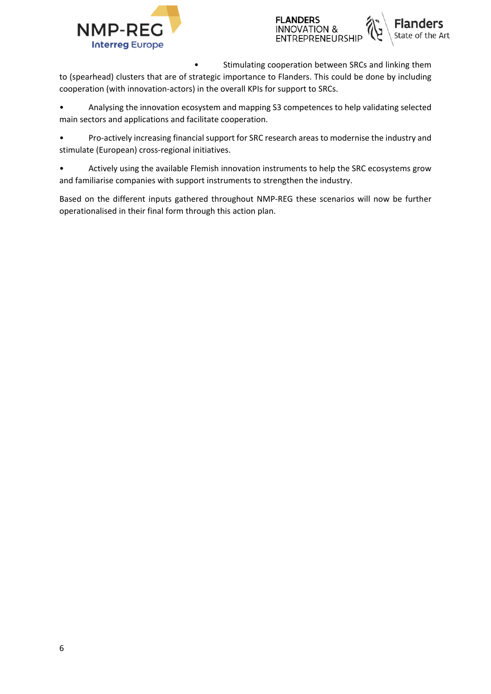



Stimulating cooperation between SRCs and linking them to (spearhead) clusters that are of strategic importance to Flanders. This could be done by including cooperation (with innovation-actors) in the overall KPIs for support to SRCs.

• Analysing the innovation ecosystem and mapping S3 competences to help validating selected main sectors and applications and facilitate cooperation.

• Pro-actively increasing financial support for SRC research areas to modernise the industry and stimulate (European) cross-regional initiatives.

• Actively using the available Flemish innovation instruments to help the SRC ecosystems grow and familiarise companies with support instruments to strengthen the industry.

Based on the different inputs gathered throughout NMP-REG these scenarios will now be further operationalised in their final form through this action plan.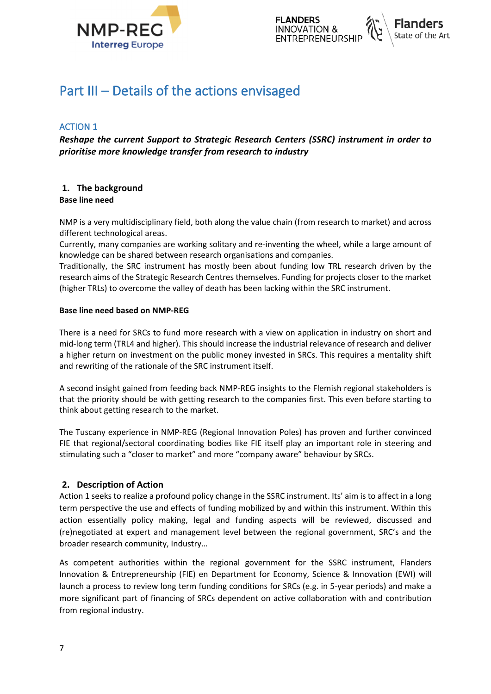



## <span id="page-6-0"></span>**Part III – Details of the actions envisaged**

## <span id="page-6-1"></span>**ACTION 1**

*Reshape the current Support to Strategic Research Centers (SSRC) instrument in order to prioritise more knowledge transfer from research to industry*

#### <span id="page-6-2"></span>**1. The background Base line need**

NMP is a very multidisciplinary field, both along the value chain (from research to market) and across different technological areas.

Currently, many companies are working solitary and re-inventing the wheel, while a large amount of knowledge can be shared between research organisations and companies.

Traditionally, the SRC instrument has mostly been about funding low TRL research driven by the research aims of the Strategic Research Centres themselves. Funding for projects closer to the market (higher TRLs) to overcome the valley of death has been lacking within the SRC instrument.

#### **Base line need based on NMP-REG**

There is a need for SRCs to fund more research with a view on application in industry on short and mid-long term (TRL4 and higher). This should increase the industrial relevance of research and deliver a higher return on investment on the public money invested in SRCs. This requires a mentality shift and rewriting of the rationale of the SRC instrument itself.

A second insight gained from feeding back NMP-REG insights to the Flemish regional stakeholders is that the priority should be with getting research to the companies first. This even before starting to think about getting research to the market.

The Tuscany experience in NMP-REG (Regional Innovation Poles) has proven and further convinced FIE that regional/sectoral coordinating bodies like FIE itself play an important role in steering and stimulating such a "closer to market" and more "company aware" behaviour by SRCs.

#### <span id="page-6-3"></span>**2. Description of Action**

Action 1 seeks to realize a profound policy change in the SSRC instrument. Its' aim is to affect in a long term perspective the use and effects of funding mobilized by and within this instrument. Within this action essentially policy making, legal and funding aspects will be reviewed, discussed and (re)negotiated at expert and management level between the regional government, SRC's and the broader research community, Industry…

As competent authorities within the regional government for the SSRC instrument, Flanders Innovation & Entrepreneurship (FIE) en Department for Economy, Science & Innovation (EWI) will launch a process to review long term funding conditions for SRCs (e.g. in 5-year periods) and make a more significant part of financing of SRCs dependent on active collaboration with and contribution from regional industry.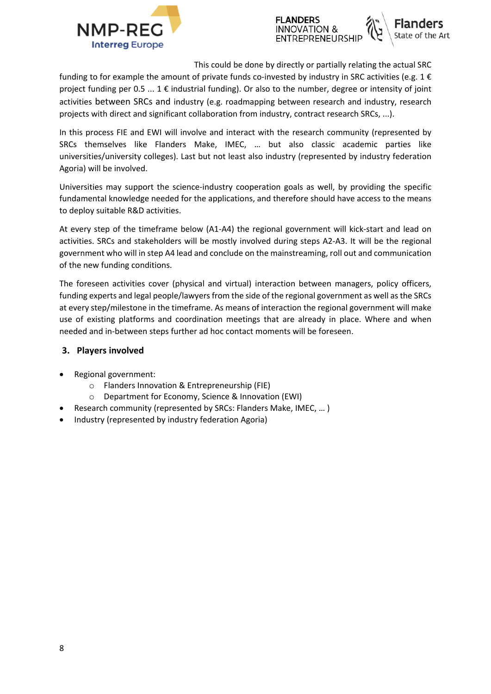



This could be done by directly or partially relating the actual SRC

funding to for example the amount of private funds co-invested by industry in SRC activities (e.g.  $1 \in$ project funding per 0.5 ... 1 € industrial funding). Or also to the number, degree or intensity of joint activities between SRCs and industry (e.g. roadmapping between research and industry, research projects with direct and significant collaboration from industry, contract research SRCs, ...).

In this process FIE and EWI will involve and interact with the research community (represented by SRCs themselves like Flanders Make, IMEC, … but also classic academic parties like universities/university colleges). Last but not least also industry (represented by industry federation Agoria) will be involved.

Universities may support the science-industry cooperation goals as well, by providing the specific fundamental knowledge needed for the applications, and therefore should have access to the means to deploy suitable R&D activities.

At every step of the timeframe below (A1-A4) the regional government will kick-start and lead on activities. SRCs and stakeholders will be mostly involved during steps A2-A3. It will be the regional government who will in step A4 lead and conclude on the mainstreaming, roll out and communication of the new funding conditions.

The foreseen activities cover (physical and virtual) interaction between managers, policy officers, funding experts and legal people/lawyers from the side of the regional government as well as the SRCs at every step/milestone in the timeframe. As means of interaction the regional government will make use of existing platforms and coordination meetings that are already in place. Where and when needed and in-between steps further ad hoc contact moments will be foreseen.

#### <span id="page-7-0"></span>**3. Players involved**

- Regional government:
	- o Flanders Innovation & Entrepreneurship (FIE)
	- o Department for Economy, Science & Innovation (EWI)
- Research community (represented by SRCs: Flanders Make, IMEC, … )
- Industry (represented by industry federation Agoria)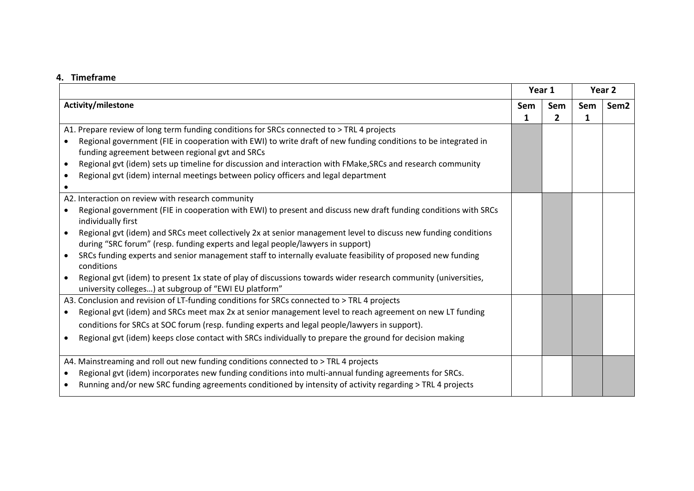#### **4. Timeframe**

<span id="page-8-0"></span>

|                                                                                                                                                                         |     | Year 1       |              | Year 2           |  |
|-------------------------------------------------------------------------------------------------------------------------------------------------------------------------|-----|--------------|--------------|------------------|--|
| Activity/milestone                                                                                                                                                      | Sem | Sem          | Sem          | Sem <sub>2</sub> |  |
|                                                                                                                                                                         | 1   | $\mathbf{2}$ | $\mathbf{1}$ |                  |  |
| A1. Prepare review of long term funding conditions for SRCs connected to > TRL 4 projects                                                                               |     |              |              |                  |  |
| Regional government (FIE in cooperation with EWI) to write draft of new funding conditions to be integrated in<br>funding agreement between regional gvt and SRCs       |     |              |              |                  |  |
| Regional gvt (idem) sets up timeline for discussion and interaction with FMake, SRCs and research community                                                             |     |              |              |                  |  |
| Regional gvt (idem) internal meetings between policy officers and legal department                                                                                      |     |              |              |                  |  |
|                                                                                                                                                                         |     |              |              |                  |  |
| A2. Interaction on review with research community                                                                                                                       |     |              |              |                  |  |
| Regional government (FIE in cooperation with EWI) to present and discuss new draft funding conditions with SRCs                                                         |     |              |              |                  |  |
| individually first                                                                                                                                                      |     |              |              |                  |  |
| Regional gvt (idem) and SRCs meet collectively 2x at senior management level to discuss new funding conditions                                                          |     |              |              |                  |  |
| during "SRC forum" (resp. funding experts and legal people/lawyers in support)                                                                                          |     |              |              |                  |  |
| SRCs funding experts and senior management staff to internally evaluate feasibility of proposed new funding<br>conditions                                               |     |              |              |                  |  |
| Regional gvt (idem) to present 1x state of play of discussions towards wider research community (universities,<br>university colleges) at subgroup of "EWI EU platform" |     |              |              |                  |  |
| A3. Conclusion and revision of LT-funding conditions for SRCs connected to > TRL 4 projects                                                                             |     |              |              |                  |  |
| Regional gvt (idem) and SRCs meet max 2x at senior management level to reach agreement on new LT funding<br>$\bullet$                                                   |     |              |              |                  |  |
| conditions for SRCs at SOC forum (resp. funding experts and legal people/lawyers in support).                                                                           |     |              |              |                  |  |
| Regional gvt (idem) keeps close contact with SRCs individually to prepare the ground for decision making                                                                |     |              |              |                  |  |
|                                                                                                                                                                         |     |              |              |                  |  |
| A4. Mainstreaming and roll out new funding conditions connected to > TRL 4 projects                                                                                     |     |              |              |                  |  |
| Regional gvt (idem) incorporates new funding conditions into multi-annual funding agreements for SRCs.<br>$\bullet$                                                     |     |              |              |                  |  |
| Running and/or new SRC funding agreements conditioned by intensity of activity regarding > TRL 4 projects                                                               |     |              |              |                  |  |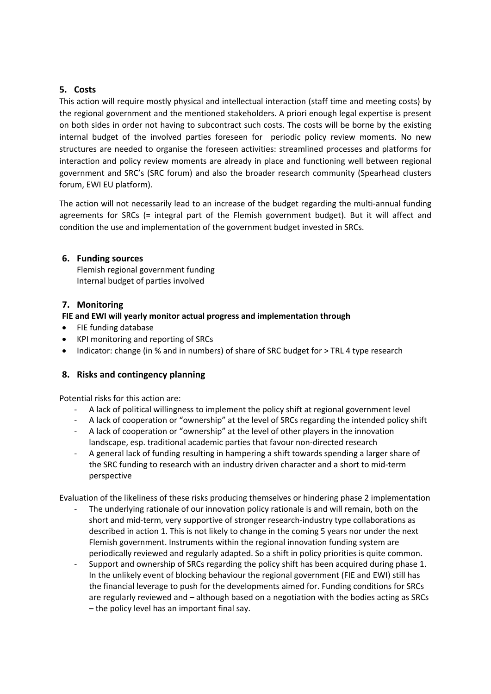## <span id="page-9-0"></span>**5. Costs**

This action will require mostly physical and intellectual interaction (staff time and meeting costs) by the regional government and the mentioned stakeholders. A priori enough legal expertise is present on both sides in order not having to subcontract such costs. The costs will be borne by the existing internal budget of the involved parties foreseen for periodic policy review moments. No new structures are needed to organise the foreseen activities: streamlined processes and platforms for interaction and policy review moments are already in place and functioning well between regional government and SRC's (SRC forum) and also the broader research community (Spearhead clusters forum, EWI EU platform).

The action will not necessarily lead to an increase of the budget regarding the multi-annual funding agreements for SRCs (= integral part of the Flemish government budget). But it will affect and condition the use and implementation of the government budget invested in SRCs.

## <span id="page-9-1"></span>**6. Funding sources**

Flemish regional government funding Internal budget of parties involved

## <span id="page-9-2"></span>**7. Monitoring**

## **FIE and EWI will yearly monitor actual progress and implementation through**

- FIE funding database
- KPI monitoring and reporting of SRCs
- Indicator: change (in % and in numbers) of share of SRC budget for > TRL 4 type research

## <span id="page-9-3"></span>**8. Risks and contingency planning**

Potential risks for this action are:

- A lack of political willingness to implement the policy shift at regional government level
- A lack of cooperation or "ownership" at the level of SRCs regarding the intended policy shift
- A lack of cooperation or "ownership" at the level of other players in the innovation landscape, esp. traditional academic parties that favour non-directed research
- A general lack of funding resulting in hampering a shift towards spending a larger share of the SRC funding to research with an industry driven character and a short to mid-term perspective

Evaluation of the likeliness of these risks producing themselves or hindering phase 2 implementation

- The underlying rationale of our innovation policy rationale is and will remain, both on the short and mid-term, very supportive of stronger research-industry type collaborations as described in action 1. This is not likely to change in the coming 5 years nor under the next Flemish government. Instruments within the regional innovation funding system are periodically reviewed and regularly adapted. So a shift in policy priorities is quite common.
- Support and ownership of SRCs regarding the policy shift has been acquired during phase 1. In the unlikely event of blocking behaviour the regional government (FIE and EWI) still has the financial leverage to push for the developments aimed for. Funding conditions for SRCs are regularly reviewed and – although based on a negotiation with the bodies acting as SRCs – the policy level has an important final say.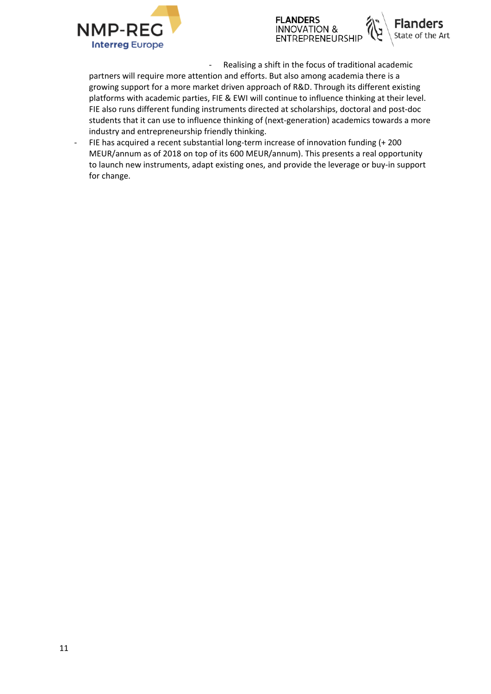





- Realising a shift in the focus of traditional academic

partners will require more attention and efforts. But also among academia there is a growing support for a more market driven approach of R&D. Through its different existing platforms with academic parties, FIE & EWI will continue to influence thinking at their level. FIE also runs different funding instruments directed at scholarships, doctoral and post-doc students that it can use to influence thinking of (next-generation) academics towards a more industry and entrepreneurship friendly thinking.

FIE has acquired a recent substantial long-term increase of innovation funding (+ 200 MEUR/annum as of 2018 on top of its 600 MEUR/annum). This presents a real opportunity to launch new instruments, adapt existing ones, and provide the leverage or buy-in support for change.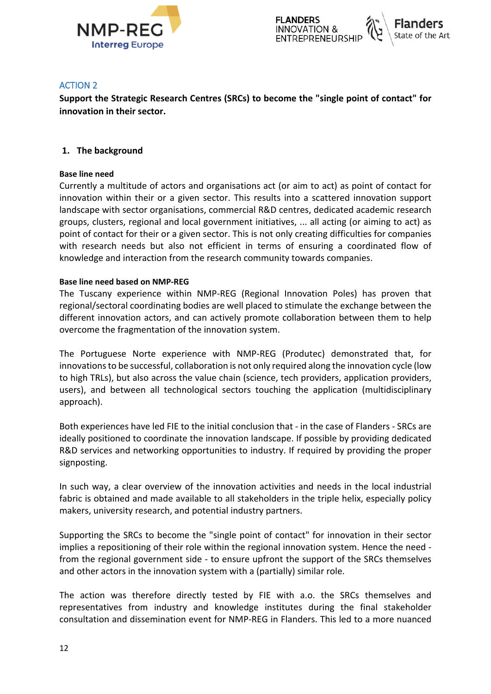

### <span id="page-11-0"></span>**ACTION 2**

**Support the Strategic Research Centres (SRCs) to become the "single point of contact" for innovation in their sector.**

### <span id="page-11-1"></span>**1. The background**

#### **Base line need**

Currently a multitude of actors and organisations act (or aim to act) as point of contact for innovation within their or a given sector. This results into a scattered innovation support landscape with sector organisations, commercial R&D centres, dedicated academic research groups, clusters, regional and local government initiatives, ... all acting (or aiming to act) as point of contact for their or a given sector. This is not only creating difficulties for companies with research needs but also not efficient in terms of ensuring a coordinated flow of knowledge and interaction from the research community towards companies.

#### **Base line need based on NMP-REG**

The Tuscany experience within NMP-REG (Regional Innovation Poles) has proven that regional/sectoral coordinating bodies are well placed to stimulate the exchange between the different innovation actors, and can actively promote collaboration between them to help overcome the fragmentation of the innovation system.

The Portuguese Norte experience with NMP-REG (Produtec) demonstrated that, for innovations to be successful, collaboration is not only required along the innovation cycle (low to high TRLs), but also across the value chain (science, tech providers, application providers, users), and between all technological sectors touching the application (multidisciplinary approach).

Both experiences have led FIE to the initial conclusion that - in the case of Flanders - SRCs are ideally positioned to coordinate the innovation landscape. If possible by providing dedicated R&D services and networking opportunities to industry. If required by providing the proper signposting.

In such way, a clear overview of the innovation activities and needs in the local industrial fabric is obtained and made available to all stakeholders in the triple helix, especially policy makers, university research, and potential industry partners.

Supporting the SRCs to become the "single point of contact" for innovation in their sector implies a repositioning of their role within the regional innovation system. Hence the need from the regional government side - to ensure upfront the support of the SRCs themselves and other actors in the innovation system with a (partially) similar role.

The action was therefore directly tested by FIE with a.o. the SRCs themselves and representatives from industry and knowledge institutes during the final stakeholder consultation and dissemination event for NMP-REG in Flanders. This led to a more nuanced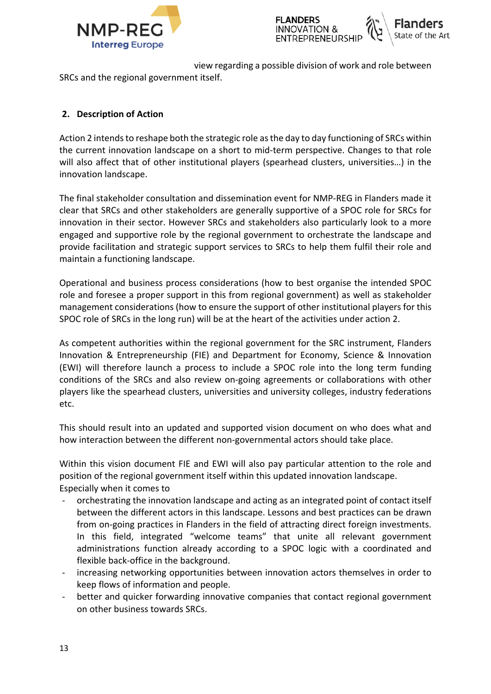

view regarding a possible division of work and role between

SRCs and the regional government itself.

## <span id="page-12-0"></span>**2. Description of Action**

Action 2 intends to reshape both the strategic role as the day to day functioning of SRCs within the current innovation landscape on a short to mid-term perspective. Changes to that role will also affect that of other institutional players (spearhead clusters, universities…) in the innovation landscape.

The final stakeholder consultation and dissemination event for NMP-REG in Flanders made it clear that SRCs and other stakeholders are generally supportive of a SPOC role for SRCs for innovation in their sector. However SRCs and stakeholders also particularly look to a more engaged and supportive role by the regional government to orchestrate the landscape and provide facilitation and strategic support services to SRCs to help them fulfil their role and maintain a functioning landscape.

Operational and business process considerations (how to best organise the intended SPOC role and foresee a proper support in this from regional government) as well as stakeholder management considerations (how to ensure the support of other institutional players for this SPOC role of SRCs in the long run) will be at the heart of the activities under action 2.

As competent authorities within the regional government for the SRC instrument, Flanders Innovation & Entrepreneurship (FIE) and Department for Economy, Science & Innovation (EWI) will therefore launch a process to include a SPOC role into the long term funding conditions of the SRCs and also review on-going agreements or collaborations with other players like the spearhead clusters, universities and university colleges, industry federations etc.

This should result into an updated and supported vision document on who does what and how interaction between the different non-governmental actors should take place.

Within this vision document FIE and EWI will also pay particular attention to the role and position of the regional government itself within this updated innovation landscape. Especially when it comes to

- orchestrating the innovation landscape and acting as an integrated point of contact itself between the different actors in this landscape. Lessons and best practices can be drawn from on-going practices in Flanders in the field of attracting direct foreign investments. In this field, integrated "welcome teams" that unite all relevant government administrations function already according to a SPOC logic with a coordinated and flexible back-office in the background.
- increasing networking opportunities between innovation actors themselves in order to keep flows of information and people.
- better and quicker forwarding innovative companies that contact regional government on other business towards SRCs.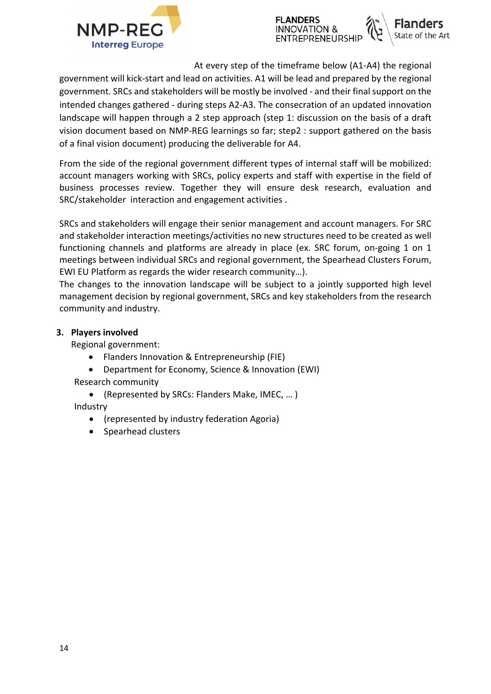



At every step of the timeframe below (A1-A4) the regional

government will kick-start and lead on activities. A1 will be lead and prepared by the regional government. SRCs and stakeholders will be mostly be involved - and their final support on the intended changes gathered - during steps A2-A3. The consecration of an updated innovation landscape will happen through a 2 step approach (step 1: discussion on the basis of a draft vision document based on NMP-REG learnings so far; step2 : support gathered on the basis of a final vision document) producing the deliverable for A4.

From the side of the regional government different types of internal staff will be mobilized: account managers working with SRCs, policy experts and staff with expertise in the field of business processes review. Together they will ensure desk research, evaluation and SRC/stakeholder interaction and engagement activities .

SRCs and stakeholders will engage their senior management and account managers. For SRC and stakeholder interaction meetings/activities no new structures need to be created as well functioning channels and platforms are already in place (ex. SRC forum, on-going 1 on 1 meetings between individual SRCs and regional government, the Spearhead Clusters Forum, EWI EU Platform as regards the wider research community…).

The changes to the innovation landscape will be subject to a jointly supported high level management decision by regional government, SRCs and key stakeholders from the research community and industry.

## <span id="page-13-0"></span>**3. Players involved**

Regional government:

- Flanders Innovation & Entrepreneurship (FIE)
- Department for Economy, Science & Innovation (EWI) Research community
	- (Represented by SRCs: Flanders Make, IMEC, … )

Industry

- (represented by industry federation Agoria)
- Spearhead clusters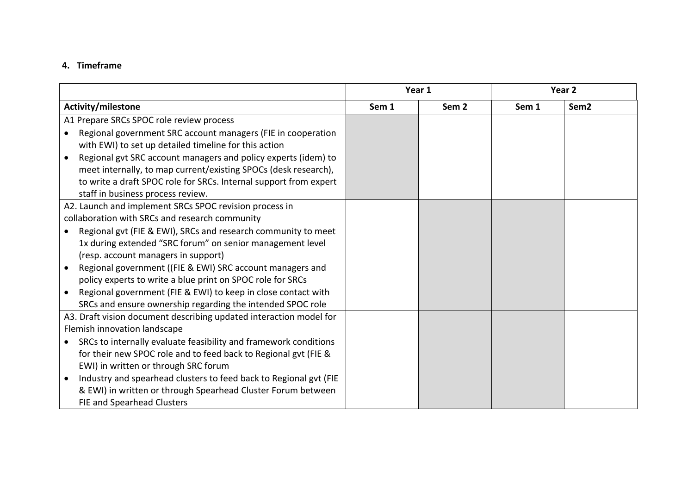## **4. Timeframe**

<span id="page-14-0"></span>

|                                                                               | Year 1 |                  |       | Year <sub>2</sub> |
|-------------------------------------------------------------------------------|--------|------------------|-------|-------------------|
| Activity/milestone                                                            | Sem 1  | Sem <sub>2</sub> | Sem 1 | Sem <sub>2</sub>  |
| A1 Prepare SRCs SPOC role review process                                      |        |                  |       |                   |
| Regional government SRC account managers (FIE in cooperation                  |        |                  |       |                   |
| with EWI) to set up detailed timeline for this action                         |        |                  |       |                   |
| Regional gvt SRC account managers and policy experts (idem) to<br>$\bullet$   |        |                  |       |                   |
| meet internally, to map current/existing SPOCs (desk research),               |        |                  |       |                   |
| to write a draft SPOC role for SRCs. Internal support from expert             |        |                  |       |                   |
| staff in business process review.                                             |        |                  |       |                   |
| A2. Launch and implement SRCs SPOC revision process in                        |        |                  |       |                   |
| collaboration with SRCs and research community                                |        |                  |       |                   |
| Regional gvt (FIE & EWI), SRCs and research community to meet                 |        |                  |       |                   |
| 1x during extended "SRC forum" on senior management level                     |        |                  |       |                   |
| (resp. account managers in support)                                           |        |                  |       |                   |
| Regional government ((FIE & EWI) SRC account managers and                     |        |                  |       |                   |
| policy experts to write a blue print on SPOC role for SRCs                    |        |                  |       |                   |
| Regional government (FIE & EWI) to keep in close contact with                 |        |                  |       |                   |
| SRCs and ensure ownership regarding the intended SPOC role                    |        |                  |       |                   |
| A3. Draft vision document describing updated interaction model for            |        |                  |       |                   |
| Flemish innovation landscape                                                  |        |                  |       |                   |
| SRCs to internally evaluate feasibility and framework conditions<br>$\bullet$ |        |                  |       |                   |
| for their new SPOC role and to feed back to Regional gvt (FIE &               |        |                  |       |                   |
| EWI) in written or through SRC forum                                          |        |                  |       |                   |
| Industry and spearhead clusters to feed back to Regional gvt (FIE             |        |                  |       |                   |
| & EWI) in written or through Spearhead Cluster Forum between                  |        |                  |       |                   |
| FIE and Spearhead Clusters                                                    |        |                  |       |                   |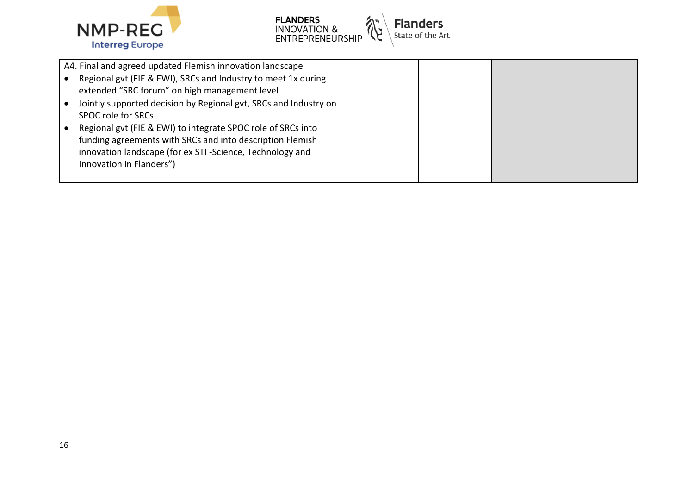



| A4. Final and agreed updated Flemish innovation landscape                                                             |  |
|-----------------------------------------------------------------------------------------------------------------------|--|
| Regional gvt (FIE & EWI), SRCs and Industry to meet 1x during<br>extended "SRC forum" on high management level        |  |
| Jointly supported decision by Regional gvt, SRCs and Industry on                                                      |  |
| SPOC role for SRCs                                                                                                    |  |
| Regional gvt (FIE & EWI) to integrate SPOC role of SRCs into                                                          |  |
| funding agreements with SRCs and into description Flemish<br>innovation landscape (for ex STI-Science, Technology and |  |
| Innovation in Flanders")                                                                                              |  |
|                                                                                                                       |  |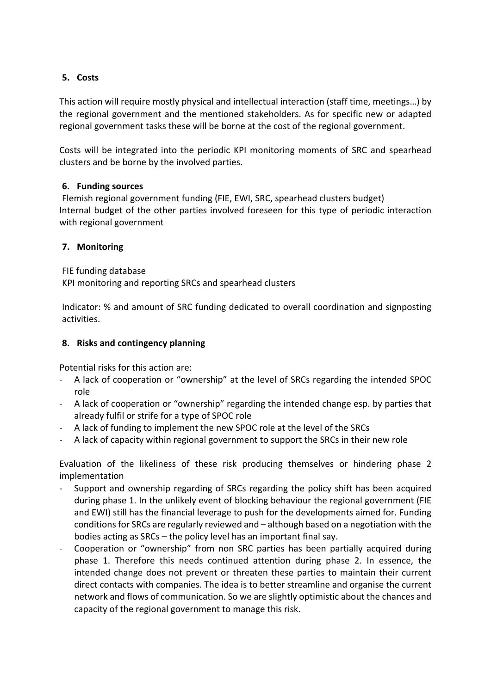## <span id="page-16-0"></span>**5. Costs**

This action will require mostly physical and intellectual interaction (staff time, meetings…) by the regional government and the mentioned stakeholders. As for specific new or adapted regional government tasks these will be borne at the cost of the regional government.

Costs will be integrated into the periodic KPI monitoring moments of SRC and spearhead clusters and be borne by the involved parties.

## <span id="page-16-1"></span>**6. Funding sources**

Flemish regional government funding (FIE, EWI, SRC, spearhead clusters budget) Internal budget of the other parties involved foreseen for this type of periodic interaction with regional government

## <span id="page-16-2"></span>**7. Monitoring**

FIE funding database KPI monitoring and reporting SRCs and spearhead clusters

Indicator: % and amount of SRC funding dedicated to overall coordination and signposting activities.

## <span id="page-16-3"></span>**8. Risks and contingency planning**

Potential risks for this action are:

- A lack of cooperation or "ownership" at the level of SRCs regarding the intended SPOC role
- A lack of cooperation or "ownership" regarding the intended change esp. by parties that already fulfil or strife for a type of SPOC role
- A lack of funding to implement the new SPOC role at the level of the SRCs
- A lack of capacity within regional government to support the SRCs in their new role

Evaluation of the likeliness of these risk producing themselves or hindering phase 2 implementation

- Support and ownership regarding of SRCs regarding the policy shift has been acquired during phase 1. In the unlikely event of blocking behaviour the regional government (FIE and EWI) still has the financial leverage to push for the developments aimed for. Funding conditions for SRCs are regularly reviewed and – although based on a negotiation with the bodies acting as SRCs – the policy level has an important final say.
- Cooperation or "ownership" from non SRC parties has been partially acquired during phase 1. Therefore this needs continued attention during phase 2. In essence, the intended change does not prevent or threaten these parties to maintain their current direct contacts with companies. The idea is to better streamline and organise the current network and flows of communication. So we are slightly optimistic about the chances and capacity of the regional government to manage this risk.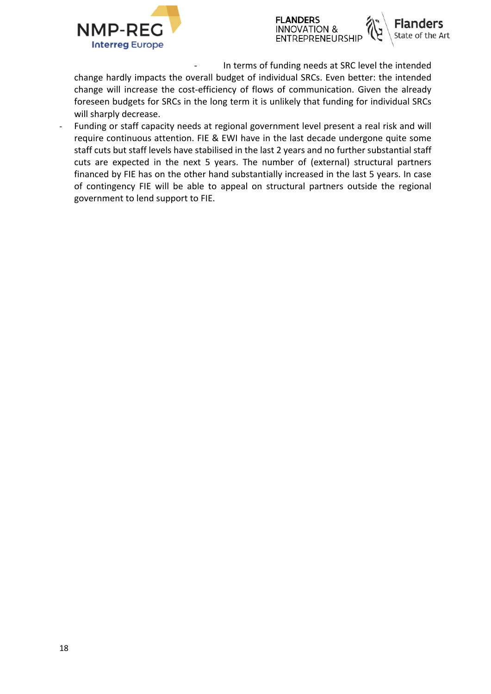



In terms of funding needs at SRC level the intended

change hardly impacts the overall budget of individual SRCs. Even better: the intended change will increase the cost-efficiency of flows of communication. Given the already foreseen budgets for SRCs in the long term it is unlikely that funding for individual SRCs will sharply decrease.

Funding or staff capacity needs at regional government level present a real risk and will require continuous attention. FIE & EWI have in the last decade undergone quite some staff cuts but staff levels have stabilised in the last 2 years and no further substantial staff cuts are expected in the next 5 years. The number of (external) structural partners financed by FIE has on the other hand substantially increased in the last 5 years. In case of contingency FIE will be able to appeal on structural partners outside the regional government to lend support to FIE.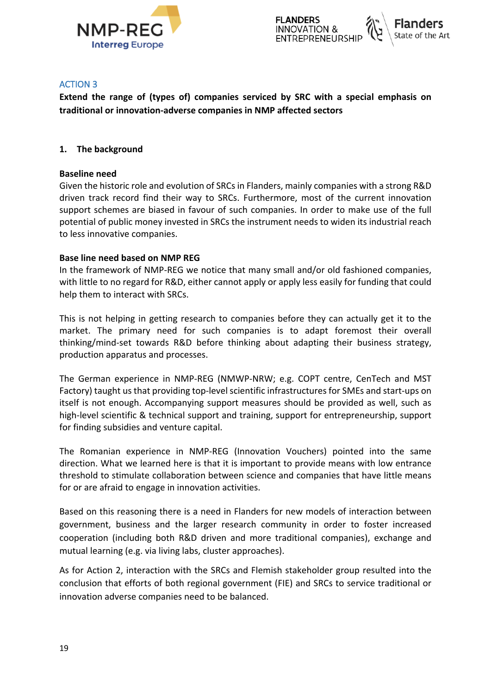

### <span id="page-18-0"></span>**ACTION 3**

**Extend the range of (types of) companies serviced by SRC with a special emphasis on traditional or innovation-adverse companies in NMP affected sectors**

### <span id="page-18-1"></span>**1. The background**

#### **Baseline need**

Given the historic role and evolution of SRCs in Flanders, mainly companies with a strong R&D driven track record find their way to SRCs. Furthermore, most of the current innovation support schemes are biased in favour of such companies. In order to make use of the full potential of public money invested in SRCs the instrument needs to widen its industrial reach to less innovative companies.

#### **Base line need based on NMP REG**

In the framework of NMP-REG we notice that many small and/or old fashioned companies, with little to no regard for R&D, either cannot apply or apply less easily for funding that could help them to interact with SRCs.

This is not helping in getting research to companies before they can actually get it to the market. The primary need for such companies is to adapt foremost their overall thinking/mind-set towards R&D before thinking about adapting their business strategy, production apparatus and processes.

The German experience in NMP-REG (NMWP-NRW; e.g. COPT centre, CenTech and MST Factory) taught us that providing top-level scientific infrastructures for SMEs and start-ups on itself is not enough. Accompanying support measures should be provided as well, such as high-level scientific & technical support and training, support for entrepreneurship, support for finding subsidies and venture capital.

The Romanian experience in NMP-REG (Innovation Vouchers) pointed into the same direction. What we learned here is that it is important to provide means with low entrance threshold to stimulate collaboration between science and companies that have little means for or are afraid to engage in innovation activities.

Based on this reasoning there is a need in Flanders for new models of interaction between government, business and the larger research community in order to foster increased cooperation (including both R&D driven and more traditional companies), exchange and mutual learning (e.g. via living labs, cluster approaches).

As for Action 2, interaction with the SRCs and Flemish stakeholder group resulted into the conclusion that efforts of both regional government (FIE) and SRCs to service traditional or innovation adverse companies need to be balanced.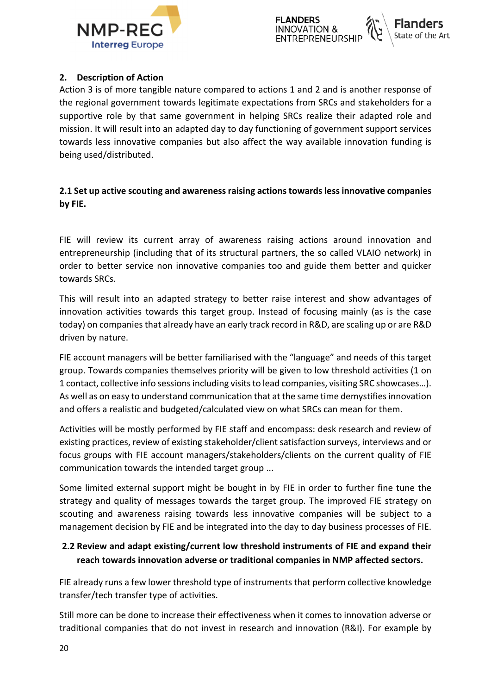

## <span id="page-19-0"></span>**2. Description of Action**

Action 3 is of more tangible nature compared to actions 1 and 2 and is another response of the regional government towards legitimate expectations from SRCs and stakeholders for a supportive role by that same government in helping SRCs realize their adapted role and mission. It will result into an adapted day to day functioning of government support services towards less innovative companies but also affect the way available innovation funding is being used/distributed.

## **2.1 Set up active scouting and awareness raising actions towards less innovative companies by FIE.**

FIE will review its current array of awareness raising actions around innovation and entrepreneurship (including that of its structural partners, the so called VLAIO network) in order to better service non innovative companies too and guide them better and quicker towards SRCs.

This will result into an adapted strategy to better raise interest and show advantages of innovation activities towards this target group. Instead of focusing mainly (as is the case today) on companies that already have an early track record in R&D, are scaling up or are R&D driven by nature.

FIE account managers will be better familiarised with the "language" and needs of this target group. Towards companies themselves priority will be given to low threshold activities (1 on 1 contact, collective info sessions including visits to lead companies, visiting SRC showcases…). As well as on easy to understand communication that at the same time demystifies innovation and offers a realistic and budgeted/calculated view on what SRCs can mean for them.

Activities will be mostly performed by FIE staff and encompass: desk research and review of existing practices, review of existing stakeholder/client satisfaction surveys, interviews and or focus groups with FIE account managers/stakeholders/clients on the current quality of FIE communication towards the intended target group ...

Some limited external support might be bought in by FIE in order to further fine tune the strategy and quality of messages towards the target group. The improved FIE strategy on scouting and awareness raising towards less innovative companies will be subject to a management decision by FIE and be integrated into the day to day business processes of FIE.

## **2.2 Review and adapt existing/current low threshold instruments of FIE and expand their reach towards innovation adverse or traditional companies in NMP affected sectors.**

FIE already runs a few lower threshold type of instruments that perform collective knowledge transfer/tech transfer type of activities.

Still more can be done to increase their effectiveness when it comes to innovation adverse or traditional companies that do not invest in research and innovation (R&I). For example by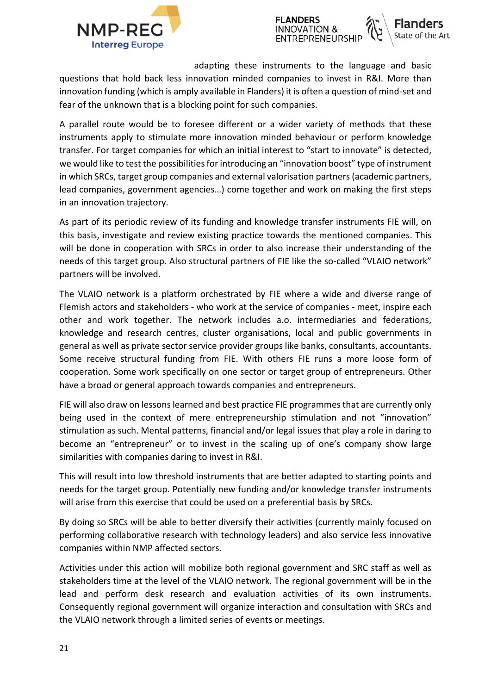



adapting these instruments to the language and basic

questions that hold back less innovation minded companies to invest in R&I. More than innovation funding (which is amply available in Flanders) it is often a question of mind-set and fear of the unknown that is a blocking point for such companies.

A parallel route would be to foresee different or a wider variety of methods that these instruments apply to stimulate more innovation minded behaviour or perform knowledge transfer. For target companies for which an initial interest to "start to innovate" is detected, we would like to test the possibilities for introducing an "innovation boost" type of instrument in which SRCs, target group companies and external valorisation partners (academic partners, lead companies, government agencies…) come together and work on making the first steps in an innovation trajectory.

As part of its periodic review of its funding and knowledge transfer instruments FIE will, on this basis, investigate and review existing practice towards the mentioned companies. This will be done in cooperation with SRCs in order to also increase their understanding of the needs of this target group. Also structural partners of FIE like the so-called "VLAIO network" partners will be involved.

The VLAIO network is a platform orchestrated by FIE where a wide and diverse range of Flemish actors and stakeholders - who work at the service of companies - meet, inspire each other and work together. The network includes a.o. intermediaries and federations, knowledge and research centres, cluster organisations, local and public governments in general as well as private sector service provider groups like banks, consultants, accountants. Some receive structural funding from FIE. With others FIE runs a more loose form of cooperation. Some work specifically on one sector or target group of entrepreneurs. Other have a broad or general approach towards companies and entrepreneurs.

FIE will also draw on lessons learned and best practice FIE programmes that are currently only being used in the context of mere entrepreneurship stimulation and not "innovation" stimulation as such. Mental patterns, financial and/or legal issues that play a role in daring to become an "entrepreneur" or to invest in the scaling up of one's company show large similarities with companies daring to invest in R&I.

This will result into low threshold instruments that are better adapted to starting points and needs for the target group. Potentially new funding and/or knowledge transfer instruments will arise from this exercise that could be used on a preferential basis by SRCs.

By doing so SRCs will be able to better diversify their activities (currently mainly focused on performing collaborative research with technology leaders) and also service less innovative companies within NMP affected sectors.

Activities under this action will mobilize both regional government and SRC staff as well as stakeholders time at the level of the VLAIO network. The regional government will be in the lead and perform desk research and evaluation activities of its own instruments. Consequently regional government will organize interaction and consultation with SRCs and the VLAIO network through a limited series of events or meetings.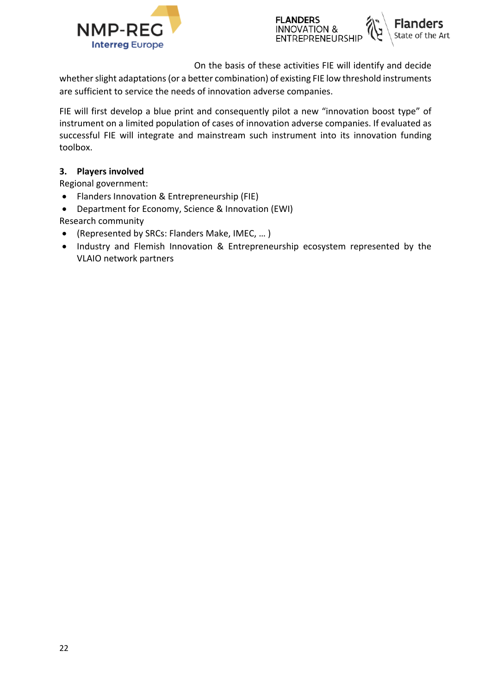



On the basis of these activities FIE will identify and decide

whether slight adaptations (or a better combination) of existing FIE low threshold instruments are sufficient to service the needs of innovation adverse companies.

FIE will first develop a blue print and consequently pilot a new "innovation boost type" of instrument on a limited population of cases of innovation adverse companies. If evaluated as successful FIE will integrate and mainstream such instrument into its innovation funding toolbox.

## <span id="page-21-0"></span>**3. Players involved**

Regional government:

- Flanders Innovation & Entrepreneurship (FIE)
- Department for Economy, Science & Innovation (EWI)
- Research community (Represented by SRCs: Flanders Make, IMEC, … )
- Industry and Flemish Innovation & Entrepreneurship ecosystem represented by the VLAIO network partners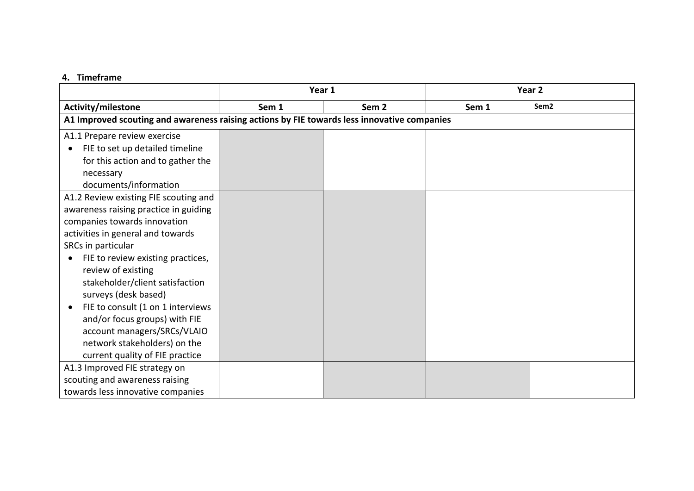#### **4. Timeframe**

<span id="page-22-0"></span>

|                                                                                             | Year 1 |                  | Year <sub>2</sub> |                  |
|---------------------------------------------------------------------------------------------|--------|------------------|-------------------|------------------|
| Activity/milestone                                                                          | Sem 1  | Sem <sub>2</sub> | Sem 1             | Sem <sub>2</sub> |
| A1 Improved scouting and awareness raising actions by FIE towards less innovative companies |        |                  |                   |                  |
| A1.1 Prepare review exercise                                                                |        |                  |                   |                  |
| FIE to set up detailed timeline<br>$\bullet$                                                |        |                  |                   |                  |
| for this action and to gather the                                                           |        |                  |                   |                  |
| necessary                                                                                   |        |                  |                   |                  |
| documents/information                                                                       |        |                  |                   |                  |
| A1.2 Review existing FIE scouting and                                                       |        |                  |                   |                  |
| awareness raising practice in guiding                                                       |        |                  |                   |                  |
| companies towards innovation                                                                |        |                  |                   |                  |
| activities in general and towards                                                           |        |                  |                   |                  |
| SRCs in particular                                                                          |        |                  |                   |                  |
| FIE to review existing practices,                                                           |        |                  |                   |                  |
| review of existing                                                                          |        |                  |                   |                  |
| stakeholder/client satisfaction                                                             |        |                  |                   |                  |
| surveys (desk based)                                                                        |        |                  |                   |                  |
| FIE to consult (1 on 1 interviews                                                           |        |                  |                   |                  |
| and/or focus groups) with FIE                                                               |        |                  |                   |                  |
| account managers/SRCs/VLAIO                                                                 |        |                  |                   |                  |
| network stakeholders) on the                                                                |        |                  |                   |                  |
| current quality of FIE practice                                                             |        |                  |                   |                  |
| A1.3 Improved FIE strategy on                                                               |        |                  |                   |                  |
| scouting and awareness raising                                                              |        |                  |                   |                  |
| towards less innovative companies                                                           |        |                  |                   |                  |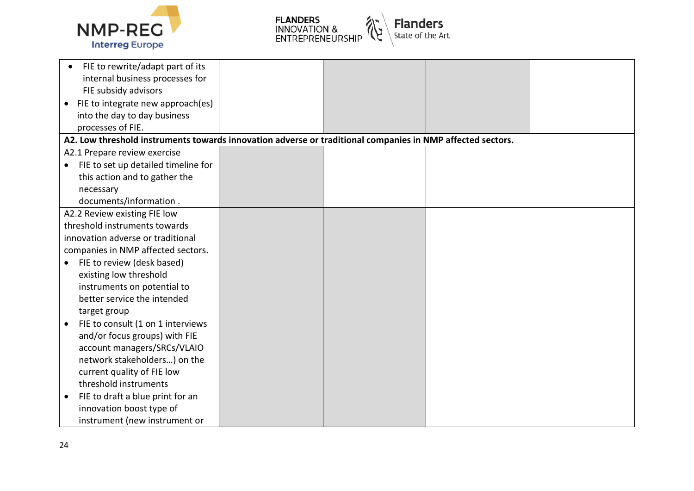



|           | FIE to rewrite/adapt part of its                                                                           |  |  |
|-----------|------------------------------------------------------------------------------------------------------------|--|--|
|           | internal business processes for                                                                            |  |  |
|           | FIE subsidy advisors                                                                                       |  |  |
|           | • FIE to integrate new approach(es)                                                                        |  |  |
|           | into the day to day business                                                                               |  |  |
|           | processes of FIE.                                                                                          |  |  |
|           | A2. Low threshold instruments towards innovation adverse or traditional companies in NMP affected sectors. |  |  |
|           | A2.1 Prepare review exercise                                                                               |  |  |
|           | FIE to set up detailed timeline for                                                                        |  |  |
|           | this action and to gather the                                                                              |  |  |
|           | necessary                                                                                                  |  |  |
|           | documents/information.                                                                                     |  |  |
|           | A2.2 Review existing FIE low                                                                               |  |  |
|           | threshold instruments towards                                                                              |  |  |
|           | innovation adverse or traditional                                                                          |  |  |
|           | companies in NMP affected sectors.                                                                         |  |  |
| $\bullet$ | FIE to review (desk based)                                                                                 |  |  |
|           | existing low threshold                                                                                     |  |  |
|           | instruments on potential to                                                                                |  |  |
|           | better service the intended                                                                                |  |  |
|           | target group                                                                                               |  |  |
|           | FIE to consult (1 on 1 interviews                                                                          |  |  |
|           | and/or focus groups) with FIE                                                                              |  |  |
|           | account managers/SRCs/VLAIO                                                                                |  |  |
|           | network stakeholders) on the                                                                               |  |  |
|           | current quality of FIE low                                                                                 |  |  |
|           | threshold instruments                                                                                      |  |  |
|           | FIE to draft a blue print for an                                                                           |  |  |
|           | innovation boost type of                                                                                   |  |  |
|           | instrument (new instrument or                                                                              |  |  |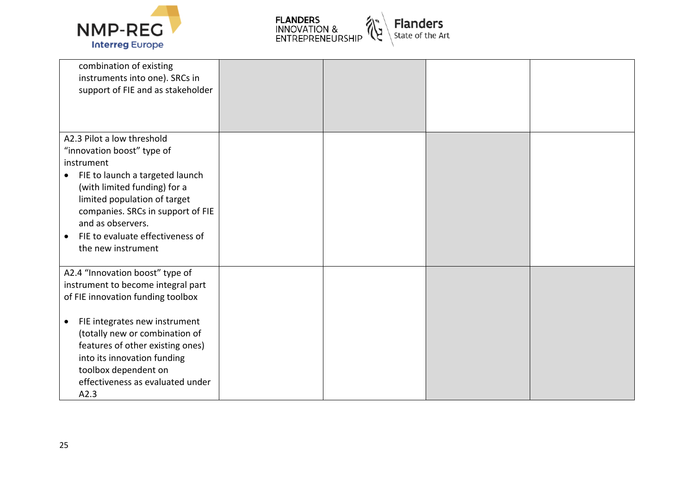



| combination of existing<br>instruments into one). SRCs in<br>support of FIE and as stakeholder |  |  |
|------------------------------------------------------------------------------------------------|--|--|
| A2.3 Pilot a low threshold                                                                     |  |  |
| "innovation boost" type of                                                                     |  |  |
| instrument                                                                                     |  |  |
| FIE to launch a targeted launch<br>$\bullet$                                                   |  |  |
| (with limited funding) for a                                                                   |  |  |
| limited population of target                                                                   |  |  |
| companies. SRCs in support of FIE                                                              |  |  |
| and as observers.                                                                              |  |  |
|                                                                                                |  |  |
| FIE to evaluate effectiveness of<br>$\bullet$                                                  |  |  |
| the new instrument                                                                             |  |  |
| A2.4 "Innovation boost" type of                                                                |  |  |
| instrument to become integral part                                                             |  |  |
| of FIE innovation funding toolbox                                                              |  |  |
|                                                                                                |  |  |
| FIE integrates new instrument<br>$\bullet$                                                     |  |  |
| (totally new or combination of                                                                 |  |  |
| features of other existing ones)                                                               |  |  |
| into its innovation funding                                                                    |  |  |
| toolbox dependent on                                                                           |  |  |
| effectiveness as evaluated under                                                               |  |  |
| A2.3                                                                                           |  |  |
|                                                                                                |  |  |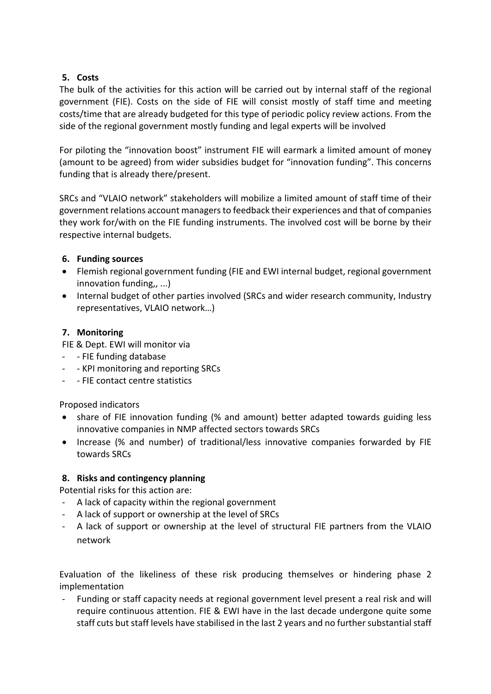## <span id="page-25-0"></span>**5. Costs**

The bulk of the activities for this action will be carried out by internal staff of the regional government (FIE). Costs on the side of FIE will consist mostly of staff time and meeting costs/time that are already budgeted for this type of periodic policy review actions. From the side of the regional government mostly funding and legal experts will be involved

For piloting the "innovation boost" instrument FIE will earmark a limited amount of money (amount to be agreed) from wider subsidies budget for "innovation funding". This concerns funding that is already there/present.

SRCs and "VLAIO network" stakeholders will mobilize a limited amount of staff time of their government relations account managers to feedback their experiences and that of companies they work for/with on the FIE funding instruments. The involved cost will be borne by their respective internal budgets.

## <span id="page-25-1"></span>**6. Funding sources**

- Flemish regional government funding (FIE and EWI internal budget, regional government innovation funding,, ...)
- Internal budget of other parties involved (SRCs and wider research community, Industry representatives, VLAIO network…)

## <span id="page-25-2"></span>**7. Monitoring**

FIE & Dept. EWI will monitor via

- - FIE funding database
- - KPI monitoring and reporting SRCs
- - FIE contact centre statistics

Proposed indicators

- share of FIE innovation funding (% and amount) better adapted towards guiding less innovative companies in NMP affected sectors towards SRCs
- Increase (% and number) of traditional/less innovative companies forwarded by FIE towards SRCs

## <span id="page-25-3"></span>**8. Risks and contingency planning**

Potential risks for this action are:

- A lack of capacity within the regional government
- A lack of support or ownership at the level of SRCs
- A lack of support or ownership at the level of structural FIE partners from the VLAIO network

Evaluation of the likeliness of these risk producing themselves or hindering phase 2 implementation

Funding or staff capacity needs at regional government level present a real risk and will require continuous attention. FIE & EWI have in the last decade undergone quite some staff cuts but staff levels have stabilised in the last 2 years and no further substantial staff